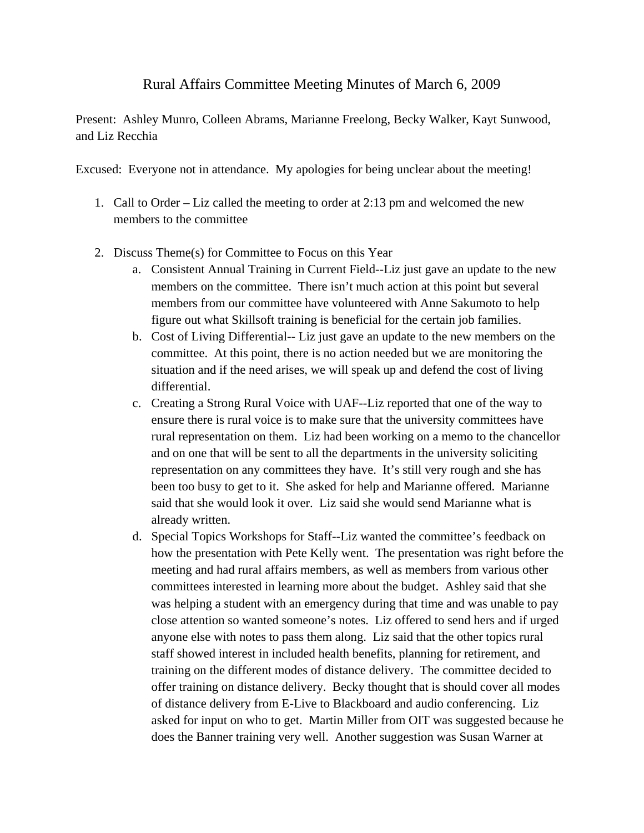## Rural Affairs Committee Meeting Minutes of March 6, 2009

Present: Ashley Munro, Colleen Abrams, Marianne Freelong, Becky Walker, Kayt Sunwood, and Liz Recchia

Excused: Everyone not in attendance. My apologies for being unclear about the meeting!

- 1. Call to Order Liz called the meeting to order at 2:13 pm and welcomed the new members to the committee
- 2. Discuss Theme(s) for Committee to Focus on this Year
	- a. Consistent Annual Training in Current Field--Liz just gave an update to the new members on the committee. There isn't much action at this point but several members from our committee have volunteered with Anne Sakumoto to help figure out what Skillsoft training is beneficial for the certain job families.
	- b. Cost of Living Differential-- Liz just gave an update to the new members on the committee. At this point, there is no action needed but we are monitoring the situation and if the need arises, we will speak up and defend the cost of living differential.
	- c. Creating a Strong Rural Voice with UAF--Liz reported that one of the way to ensure there is rural voice is to make sure that the university committees have rural representation on them. Liz had been working on a memo to the chancellor and on one that will be sent to all the departments in the university soliciting representation on any committees they have. It's still very rough and she has been too busy to get to it. She asked for help and Marianne offered. Marianne said that she would look it over. Liz said she would send Marianne what is already written.
	- d. Special Topics Workshops for Staff--Liz wanted the committee's feedback on how the presentation with Pete Kelly went. The presentation was right before the meeting and had rural affairs members, as well as members from various other committees interested in learning more about the budget. Ashley said that she was helping a student with an emergency during that time and was unable to pay close attention so wanted someone's notes. Liz offered to send hers and if urged anyone else with notes to pass them along. Liz said that the other topics rural staff showed interest in included health benefits, planning for retirement, and training on the different modes of distance delivery. The committee decided to offer training on distance delivery. Becky thought that is should cover all modes of distance delivery from E-Live to Blackboard and audio conferencing. Liz asked for input on who to get. Martin Miller from OIT was suggested because he does the Banner training very well. Another suggestion was Susan Warner at